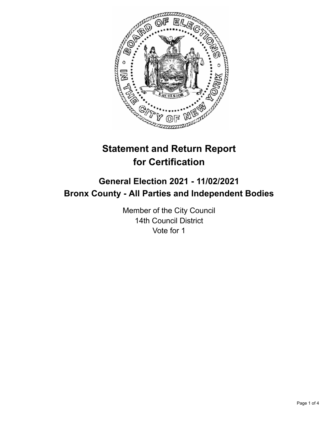

# **Statement and Return Report for Certification**

# **General Election 2021 - 11/02/2021 Bronx County - All Parties and Independent Bodies**

Member of the City Council 14th Council District Vote for 1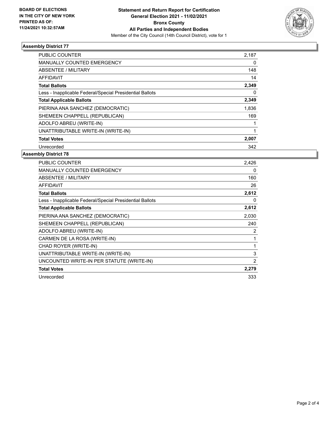

# **Assembly District 77**

| <b>PUBLIC COUNTER</b>                                    | 2,187 |
|----------------------------------------------------------|-------|
| <b>MANUALLY COUNTED EMERGENCY</b>                        | 0     |
| ABSENTEE / MILITARY                                      | 148   |
| AFFIDAVIT                                                | 14    |
| <b>Total Ballots</b>                                     | 2,349 |
| Less - Inapplicable Federal/Special Presidential Ballots | 0     |
| <b>Total Applicable Ballots</b>                          | 2,349 |
| PIERINA ANA SANCHEZ (DEMOCRATIC)                         | 1,836 |
| SHEMEEN CHAPPELL (REPUBLICAN)                            | 169   |
| ADOLFO ABREU (WRITE-IN)                                  |       |
| UNATTRIBUTABLE WRITE-IN (WRITE-IN)                       | 1     |
| <b>Total Votes</b>                                       | 2,007 |
| Unrecorded                                               | 342   |

#### **Assembly District 78**

| <b>PUBLIC COUNTER</b>                                    | 2,426 |
|----------------------------------------------------------|-------|
| <b>MANUALLY COUNTED EMERGENCY</b>                        | 0     |
| ABSENTEE / MILITARY                                      | 160   |
| <b>AFFIDAVIT</b>                                         | 26    |
| <b>Total Ballots</b>                                     | 2,612 |
| Less - Inapplicable Federal/Special Presidential Ballots | 0     |
| <b>Total Applicable Ballots</b>                          | 2,612 |
| PIERINA ANA SANCHEZ (DEMOCRATIC)                         | 2,030 |
| SHEMEEN CHAPPELL (REPUBLICAN)                            | 240   |
| ADOLFO ABREU (WRITE-IN)                                  | 2     |
| CARMEN DE LA ROSA (WRITE-IN)                             |       |
| CHAD ROYER (WRITE-IN)                                    | 1     |
| UNATTRIBUTABLE WRITE-IN (WRITE-IN)                       | 3     |
| UNCOUNTED WRITE-IN PER STATUTE (WRITE-IN)                | 2     |
| <b>Total Votes</b>                                       | 2,279 |
| Unrecorded                                               | 333   |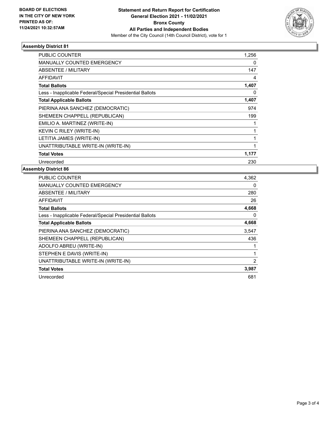

# **Assembly District 81**

| <b>PUBLIC COUNTER</b>                                    | 1,256 |
|----------------------------------------------------------|-------|
| <b>MANUALLY COUNTED EMERGENCY</b>                        | 0     |
| ABSENTEE / MILITARY                                      | 147   |
| <b>AFFIDAVIT</b>                                         | 4     |
| <b>Total Ballots</b>                                     | 1,407 |
| Less - Inapplicable Federal/Special Presidential Ballots | 0     |
| <b>Total Applicable Ballots</b>                          | 1,407 |
| PIERINA ANA SANCHEZ (DEMOCRATIC)                         | 974   |
| SHEMEEN CHAPPELL (REPUBLICAN)                            | 199   |
| EMILIO A. MARTINEZ (WRITE-IN)                            |       |
| KEVIN C RILEY (WRITE-IN)                                 |       |
| LETITIA JAMES (WRITE-IN)                                 |       |
| UNATTRIBUTABLE WRITE-IN (WRITE-IN)                       | 1     |
| <b>Total Votes</b>                                       | 1,177 |
| Unrecorded                                               | 230   |

# **Assembly District 86**

| <b>PUBLIC COUNTER</b>                                    | 4,362 |
|----------------------------------------------------------|-------|
| <b>MANUALLY COUNTED EMERGENCY</b>                        | 0     |
| ABSENTEE / MILITARY                                      | 280   |
| AFFIDAVIT                                                | 26    |
| <b>Total Ballots</b>                                     | 4,668 |
| Less - Inapplicable Federal/Special Presidential Ballots | 0     |
| <b>Total Applicable Ballots</b>                          | 4,668 |
| PIERINA ANA SANCHEZ (DEMOCRATIC)                         | 3.547 |
| SHEMEEN CHAPPELL (REPUBLICAN)                            | 436   |
| ADOLFO ABREU (WRITE-IN)                                  | 1     |
| STEPHEN E DAVIS (WRITE-IN)                               | 1     |
| UNATTRIBUTABLE WRITE-IN (WRITE-IN)                       | 2     |
| <b>Total Votes</b>                                       | 3,987 |
| Unrecorded                                               | 681   |